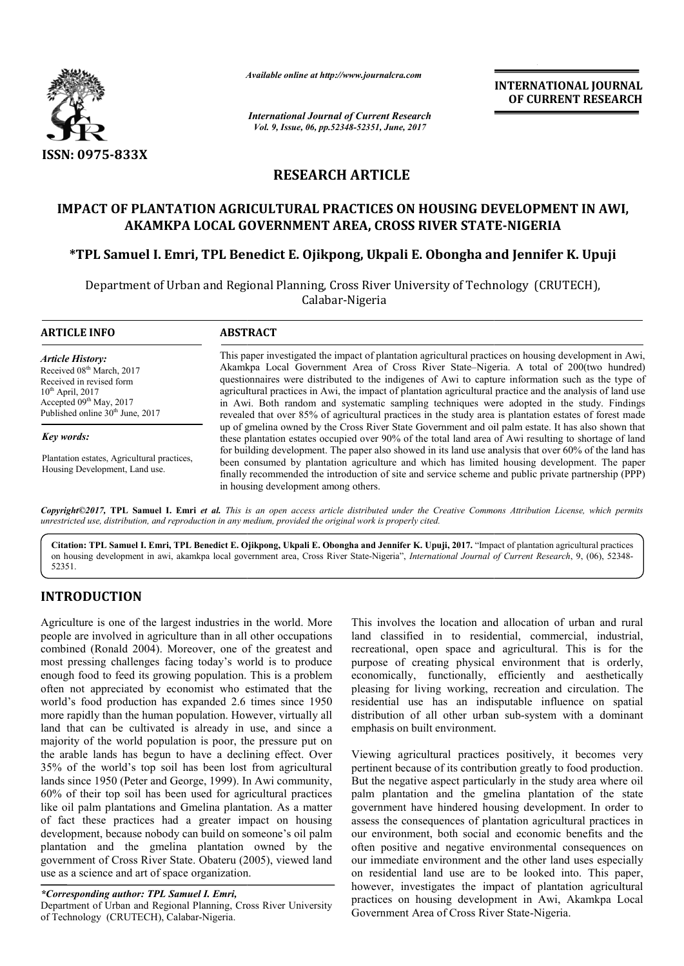

*Available online at http://www.journal http://www.journalcra.com*

*International Journal of Current Research Vol. 9, Issue, 06, pp.52348-52351, June, 2017*

**INTERNATIONAL JOURNAL OF CURRENT RESEARCH** 

# **RESEARCH ARTICLE**

# **IMPACT OF PLANTATION AGRICULTURAL PRACTICES ON HOUSING DEVELOPMENT IN AWI,**  IMPACT OF PLANTATION AGRICULTURAL PRACTICES ON HOUSING DEVELOPME<br>AKAMKPA LOCAL GOVERNMENT AREA, CROSS RIVER STATE-NIGERIA

# \*TPL Samuel I. Emri, TPL Benedict E. Ojikpong, Ukpali E. Obongha and Jennifer K. Upuji

Department of Urban and Regional Planning, Cross River University of Technology (CRUTECH), Calabar-Nigeria

#### **ARTICLE INFO ABSTRACT**

*Article History:* Received 08<sup>th</sup> March, 2017 Received in revised form  $10^{th}$  April, 2017 Accepted 09<sup>th</sup> May, 2017 Published online 30<sup>th</sup> June, 2017

*Key words:*

Plantation estates, Agricultural practices, Housing Development, Land use.

This paper investigated the impact of plantation agricultural practices on housing development in Awi, Akamkpa Local Government Area of Cross River State State–Nigeria. A total of 200(two hundred) questionnaires were distributed to the indigenes of Awi to capture information such as the type of agricultural practices in Awi, the impact of plantation agricultural practice and the analysis of land use in Awi. Both random and systematic sampling techniques were adopted in the study. Findings revealed that over 85% of agricultural practices in the study area is plantation estates of forest made up of gmelina owned by the Cross River State Government and oil palm estate. It has also shown that these plantation estates occupied over 90% of the total land area of Awi resulting to shortage of land for building development. The paper also showed in its land use analysis that over 60% of the land has been consumed by plantation agriculture and which has limited housing development. The paper finally recommended the introduction of site and service scheme and public private partnership (PPP) in housing development among others. Akamkpa Local Government Area of Cross River State–Nigeria. A total of 200(two hur questionnaires were distributed to the indigenes of Awi to capture information such as the ty agricultural practices in Awi, the impact of

Copyright©2017, TPL Samuel I. Emri et al. This is an open access article distributed under the Creative Commons Attribution License, which permits *unrestricted use, distribution, and reproduction in any medium, provided the original work is properly cited.*

Citation: TPL Samuel I. Emri, TPL Benedict E. Ojikpong, Ukpali E. Obongha and Jennifer K. Upuji, 2017. "Impact of plantation agricultural practices on housing development in awi, akamkpa local government area, Cross River State-Nigeria", *International Journal of Current Research*, 9, (06), 52348-52351.

# **INTRODUCTION**

Agriculture is one of the largest industries in the world. More people are involved in agriculture than in all other occupations combined (Ronald 2004). Moreover, one of the greatest and most pressing challenges facing today's world is to produce enough food to feed its growing population. This is a problem often not appreciated by economist who estimated that the world's food production has expanded 2.6 times since 1950 more rapidly than the human population. However, virtually all land that can be cultivated is already in use, and since a majority of the world population is poor, the pressure put on the arable lands has begun to have a declining effect. Over 35% of the world's top soil has been lost from agricultural lands since 1950 (Peter and George, 1999). In Awi community, 60% of their top soil has been used for agricultural practices like oil palm plantations and Gmelina plantation. As a matter of fact these practices had a greater impact on housing development, because nobody can build on someone's oil palm plantation and the gmelina plantation owned by the government of Cross River State. Obateru (2005), viewed land use as a science and art of space organization. od to feed its growing population. This is a problem<br>appreciated by economist who estimated that the<br>ood production has expanded 2.6 times since 1950<br>Illy than the human population. However, virtually all<br>can be cultivated

## *\*Corresponding author: TPL Samuel I. Emri,*

Department of Urban and Regional Planning, Cross River University of Technology (CRUTECH), Calabar-Nigeria.

This involves the location and allocation of urban and rural land classified in to residential, commercial, industrial, recreational, open space and agricultural. This is for the purpose of creating physical environment that is orderly, economically, functionally, efficiently and aesthetically pleasing for living working, recreation and circulation. The residential use has an indisputable influ distribution of all other urban sub-system with a dominant emphasis on built environment. involves the location and allocation of urban and rural classified in to residential, commercial, industrial, ational, open space and agricultural. This is for the space of creating physical environment that is orderly, po

Viewing agricultural practices positively, it becomes very pertinent because of its contribution greatly to food production. But the negative aspect particularly in the study area where oil palm plantation and the gmelina plantation of the state government have hindered housing development. In order to assess the consequences of plantation agricultural practices in our environment, both social and economic benefits and the often positive and negative environmental consequences on our immediate environment and the other land uses especially on residential land use are to be looked into. This paper, our immediate environment and the other land uses especially<br>on residential land use are to be looked into. This paper,<br>however, investigates the impact of plantation agricultural practices on housing development in Awi, Akamkpa Local Government Area of Cross River State-Nigeria. Government Area of Cross River State-Nigeria. pertinent because of its contribution greatly to food production.<br>But the negative aspect particularly in the study area where oil<br>palm plantation and the gmelina plantation of the state<br>government have hindered housing de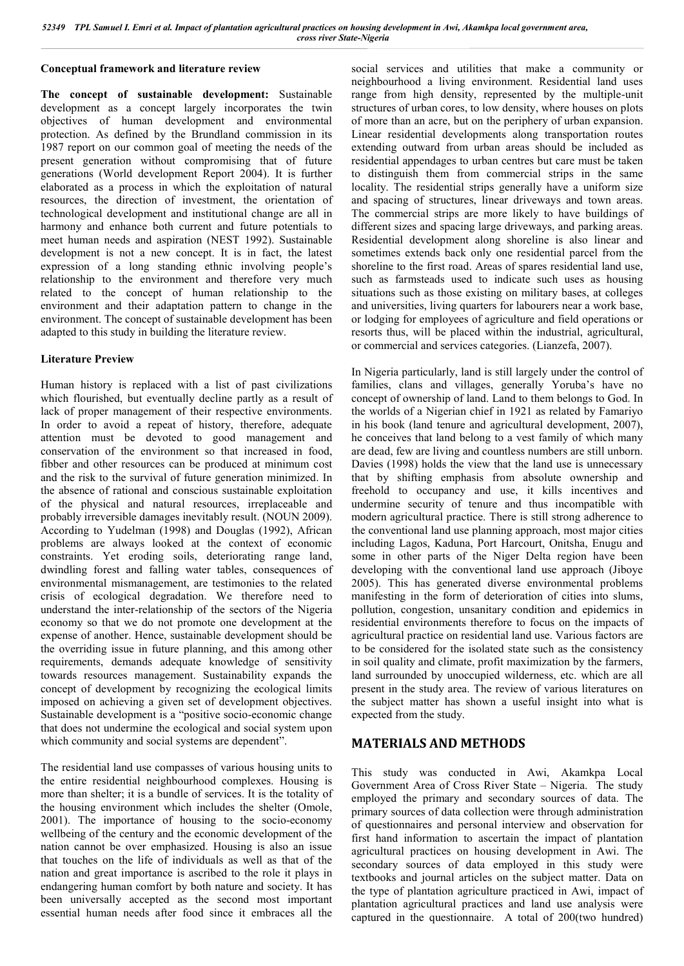#### **Conceptual framework and literature review**

**The concept of sustainable development:** Sustainable development as a concept largely incorporates the twin objectives of human development and environmental protection. As defined by the Brundland commission in its 1987 report on our common goal of meeting the needs of the present generation without compromising that of future generations (World development Report 2004). It is further elaborated as a process in which the exploitation of natural resources, the direction of investment, the orientation of technological development and institutional change are all in harmony and enhance both current and future potentials to meet human needs and aspiration (NEST 1992). Sustainable development is not a new concept. It is in fact, the latest expression of a long standing ethnic involving people's relationship to the environment and therefore very much related to the concept of human relationship to the environment and their adaptation pattern to change in the environment. The concept of sustainable development has been adapted to this study in building the literature review.

### **Literature Preview**

Human history is replaced with a list of past civilizations which flourished, but eventually decline partly as a result of lack of proper management of their respective environments. In order to avoid a repeat of history, therefore, adequate attention must be devoted to good management and conservation of the environment so that increased in food, fibber and other resources can be produced at minimum cost and the risk to the survival of future generation minimized. In the absence of rational and conscious sustainable exploitation of the physical and natural resources, irreplaceable and probably irreversible damages inevitably result. (NOUN 2009). According to Yudelman (1998) and Douglas (1992), African problems are always looked at the context of economic constraints. Yet eroding soils, deteriorating range land, dwindling forest and falling water tables, consequences of environmental mismanagement, are testimonies to the related crisis of ecological degradation. We therefore need to understand the inter-relationship of the sectors of the Nigeria economy so that we do not promote one development at the expense of another. Hence, sustainable development should be the overriding issue in future planning, and this among other requirements, demands adequate knowledge of sensitivity towards resources management. Sustainability expands the concept of development by recognizing the ecological limits imposed on achieving a given set of development objectives. Sustainable development is a "positive socio-economic change that does not undermine the ecological and social system upon which community and social systems are dependent".

The residential land use compasses of various housing units to the entire residential neighbourhood complexes. Housing is more than shelter; it is a bundle of services. It is the totality of the housing environment which includes the shelter (Omole, 2001). The importance of housing to the socio-economy wellbeing of the century and the economic development of the nation cannot be over emphasized. Housing is also an issue that touches on the life of individuals as well as that of the nation and great importance is ascribed to the role it plays in endangering human comfort by both nature and society. It has been universally accepted as the second most important essential human needs after food since it embraces all the social services and utilities that make a community or neighbourhood a living environment. Residential land uses range from high density, represented by the multiple-unit structures of urban cores, to low density, where houses on plots of more than an acre, but on the periphery of urban expansion. Linear residential developments along transportation routes extending outward from urban areas should be included as residential appendages to urban centres but care must be taken to distinguish them from commercial strips in the same locality. The residential strips generally have a uniform size and spacing of structures, linear driveways and town areas. The commercial strips are more likely to have buildings of different sizes and spacing large driveways, and parking areas. Residential development along shoreline is also linear and sometimes extends back only one residential parcel from the shoreline to the first road. Areas of spares residential land use, such as farmsteads used to indicate such uses as housing situations such as those existing on military bases, at colleges and universities, living quarters for labourers near a work base, or lodging for employees of agriculture and field operations or resorts thus, will be placed within the industrial, agricultural, or commercial and services categories. (Lianzefa, 2007).

In Nigeria particularly, land is still largely under the control of families, clans and villages, generally Yoruba's have no concept of ownership of land. Land to them belongs to God. In the worlds of a Nigerian chief in 1921 as related by Famariyo in his book (land tenure and agricultural development, 2007), he conceives that land belong to a vest family of which many are dead, few are living and countless numbers are still unborn. Davies (1998) holds the view that the land use is unnecessary that by shifting emphasis from absolute ownership and freehold to occupancy and use, it kills incentives and undermine security of tenure and thus incompatible with modern agricultural practice. There is still strong adherence to the conventional land use planning approach, most major cities including Lagos, Kaduna, Port Harcourt, Onitsha, Enugu and some in other parts of the Niger Delta region have been developing with the conventional land use approach (Jiboye 2005). This has generated diverse environmental problems manifesting in the form of deterioration of cities into slums, pollution, congestion, unsanitary condition and epidemics in residential environments therefore to focus on the impacts of agricultural practice on residential land use. Various factors are to be considered for the isolated state such as the consistency in soil quality and climate, profit maximization by the farmers, land surrounded by unoccupied wilderness, etc. which are all present in the study area. The review of various literatures on the subject matter has shown a useful insight into what is expected from the study.

## **MATERIALS AND METHODS**

This study was conducted in Awi, Akamkpa Local Government Area of Cross River State – Nigeria. The study employed the primary and secondary sources of data. The primary sources of data collection were through administration of questionnaires and personal interview and observation for first hand information to ascertain the impact of plantation agricultural practices on housing development in Awi. The secondary sources of data employed in this study were textbooks and journal articles on the subject matter. Data on the type of plantation agriculture practiced in Awi, impact of plantation agricultural practices and land use analysis were captured in the questionnaire. A total of 200(two hundred)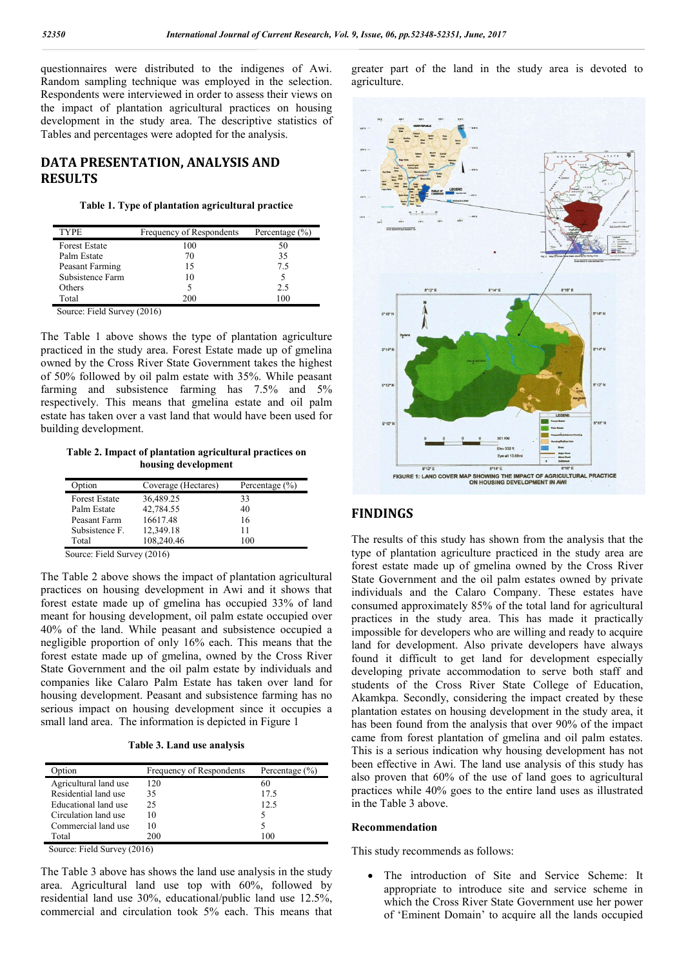questionnaires were distributed to the indigenes of Awi. Random sampling technique was employed in the selection. Respondents were interviewed in order to assess their views on the impact of plantation agricultural practices on housing development in the study area. The descriptive statistics of Tables and percentages were adopted for the analysis.

# **DATA PRESENTATION, ANALYSIS AND RESULTS**

#### **Table 1. Type of plantation agricultural practice**

| <b>TYPE</b>          | Frequency of Respondents | Percentage $(\% )$ |
|----------------------|--------------------------|--------------------|
| <b>Forest Estate</b> | 100                      |                    |
| Palm Estate          | 70                       | 35                 |
| Peasant Farming      | 15                       | 75                 |
| Subsistence Farm     | 10                       |                    |
| Others               |                          | 25                 |
| Total                | 200                      | 100                |

Source: Field Survey (2016)

The Table 1 above shows the type of plantation agriculture practiced in the study area. Forest Estate made up of gmelina owned by the Cross River State Government takes the highest of 50% followed by oil palm estate with 35%. While peasant farming and subsistence farming has 7.5% and 5% respectively. This means that gmelina estate and oil palm estate has taken over a vast land that would have been used for building development.

**Table 2. Impact of plantation agricultural practices on housing development**

| <b>Option</b>        | Coverage (Hectares) | Percentage $(\% )$ |
|----------------------|---------------------|--------------------|
| <b>Forest Estate</b> | 36,489.25           | 33                 |
| Palm Estate          | 42,784.55           | 40                 |
| Peasant Farm         | 16617.48            | 16                 |
| Subsistence F.       | 12,349.18           | 11                 |
| Total                | 108,240.46          | 100                |

Source: Field Survey (2016)

The Table 2 above shows the impact of plantation agricultural practices on housing development in Awi and it shows that forest estate made up of gmelina has occupied 33% of land meant for housing development, oil palm estate occupied over 40% of the land. While peasant and subsistence occupied a negligible proportion of only 16% each. This means that the forest estate made up of gmelina, owned by the Cross River State Government and the oil palm estate by individuals and companies like Calaro Palm Estate has taken over land for housing development. Peasant and subsistence farming has no serious impact on housing development since it occupies a small land area. The information is depicted in Figure 1

| <b>D</b> ption        | Frequency of Respondents | Percentage $(\% )$ |
|-----------------------|--------------------------|--------------------|
| Agricultural land use | 120                      | 60                 |
| Residential land use  | 35                       | 175                |
| Educational land use  | 25                       | 12.5               |
| Circulation land use  | 10                       |                    |
| Commercial land use   | 10                       |                    |
| Total                 | 200                      | 1 O C              |

Source: Field Survey (2016)

The Table 3 above has shows the land use analysis in the study area. Agricultural land use top with 60%, followed by residential land use 30%, educational/public land use 12.5%, commercial and circulation took 5% each. This means that

greater part of the land in the study area is devoted to agriculture.



# **FINDINGS**

The results of this study has shown from the analysis that the type of plantation agriculture practiced in the study area are forest estate made up of gmelina owned by the Cross River State Government and the oil palm estates owned by private individuals and the Calaro Company. These estates have consumed approximately 85% of the total land for agricultural practices in the study area. This has made it practically impossible for developers who are willing and ready to acquire land for development. Also private developers have always found it difficult to get land for development especially developing private accommodation to serve both staff and students of the Cross River State College of Education, Akamkpa. Secondly, considering the impact created by these plantation estates on housing development in the study area, it has been found from the analysis that over 90% of the impact came from forest plantation of gmelina and oil palm estates. This is a serious indication why housing development has not been effective in Awi. The land use analysis of this study has also proven that 60% of the use of land goes to agricultural practices while 40% goes to the entire land uses as illustrated in the Table 3 above.

#### **Recommendation**

This study recommends as follows:

 The introduction of Site and Service Scheme: It appropriate to introduce site and service scheme in which the Cross River State Government use her power of 'Eminent Domain' to acquire all the lands occupied